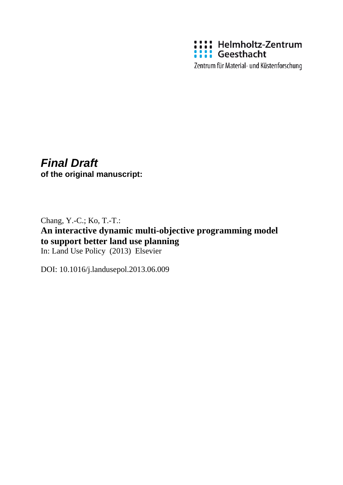

Zentrum für Material- und Küstenforschung

# *Final Draft*

**of the original manuscript:**

# Chang, Y.-C.; Ko, T.-T.: **An interactive dynamic multi-objective programming model to support better land use planning** In: Land Use Policy (2013) Elsevier

DOI: 10.1016/j.landusepol.2013.06.009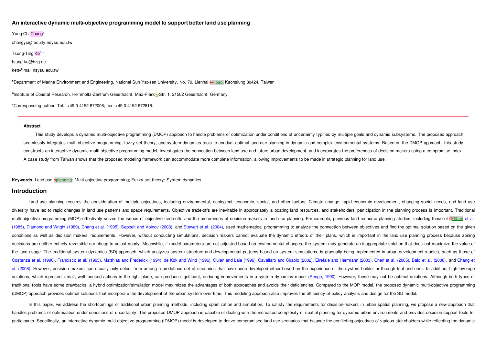#### **An interactive dynamic multi-objective programming model to support better land use planning**

Yang-Chi Chang<sup>a</sup> changyc@faculty.nsysu.edu.tw Tsung-Ting <mark>Ko<sup>b,</sup>\*</mark> tsung.ko@hzg.de kett@mail.nsysu.edu.tw **<sup>a</sup>**Department of Marine Environment and Engineering, National Sun Yat-sen University, No. 70, Lienhai RRoad, Kaohsiung 80424, Taiwan <sup>b</sup>Institute of Coastal Research, Helmholtz-Zentrum Geesthacht, Max-Planc<u>k</u>-Str. 1, 21502 Geesthacht, Germany

**⁎**Corresponding author. Tel.: +49 0 4152 872008; fax: +49 0 4152 872818.

#### **Abstract**

This study develops a dynamic multi-objective programming (DMOP) approach to handle problems of optimization under conditions of uncertainty typified by multiple goals and dynamic subsystems. The proposed approach seamlessly integrates multi-objective programming, fuzzy set theory, and system dynamics tools to conduct optimal land use planning in dynamic and complex environmental systems. Based on the DMOP approach, this study constructs an interactive dynamic multi-objective programming model, investigates the connection between land use and future urban development, and incorporates the preferences of decision makers using a compromise index. A case study from Taiwan shows that the proposed modeling framework can accommodate more complete information, allowing improvements to be made in strategic planning for land use.

**Keywords:** Land use pplanning; Multi-objective programming; Fuzzy set theory; System dynamics

# **Introduction**

Land use planning requires the consideration of multiple objectives, including environmental, ecological, economic, social, and other factors. Climate change, rapid economic development, changing social needs, and land use diversity have led to rapid changes in land use patterns and space requirements. Objective trade-offs are inevitable in appropriately allocating land resources, and stakeholders' participation in the planning process is im multi-objective programming (MOP) effectively solves the issues of objective trade-offs and the preferences of decision makers in land use planning. For example, previous land resource planning studies, including those of (1985), Diamond and Wright (1989), Chang et al. (1995), Seppelt and Voinov (2003), and Stewart et al. (2004), used mathematical programming to analyze the connection between objectives and find the optimal solution based o conditions as well as decision makers' requirements. However, without conducting simulations, decision makers cannot evaluate the dynamic effects of their plans, which is important in the land use planning process because decisions are neither entirely reversible nor cheap to adjust yearly. Meanwhile, if model parameters are not adjusted based on environmental changes, the system may generate an inappropriate solution that does not maximize the land usage. The traditional system dynamics (SD) approach, which analyzes system structure and developmental patterns based on system simulations, is gradually being implemented in urban development studies, such as th Costanza et al. (1990), Francisco et al. (1993), Matthias and Frederick (1994), de Kok and Wind (1996), Gulen and Lale (1996), Cavallaro and Ciraolo (2002), Elrefaie and Herrmann (2003), Chen et al. (2005), Bald et al. (20 al. (2008). However, decision makers can usually only select from among a predefined set of scenarios that have been developed either based on the experience of the system builder or through trial and error. In addition, h solutions, which represent small, well-focused actions in the right place, can produce significant, enduring improvements in a system dynamics model (Senge, 1990). However, these may not be optimal solutions. Although both traditional tools have some drawbacks, a hybrid optimization/simulation model maximizes the advantages of both approaches and avoids their deficiencies. Compared to the MOP model, the proposed dynamic multi-objective progr (DMOP) approach provides optimal solutions that incorporate the development of the urban system over time. This modeling approach also improves the efficiency of policy analysis and design for the SD model.

In this paper, we address the shortcomings of traditional urban planning methods, including optimization and simulation. To satisfy the requirements for decision-makers in urban spatial planning, we propose a new approach handles problems of optimization under conditions of uncertainty. The proposed DMOP approach is capable of dealing with the increased complexity of spatial planning for dynamic urban environments and provides decision supp participants. Specifically, an interactive dynamic multi-objective programming (IDMOP) model is developed to derive compromised land use scenarios that balance the conflicting objectives of various stakeholders while refle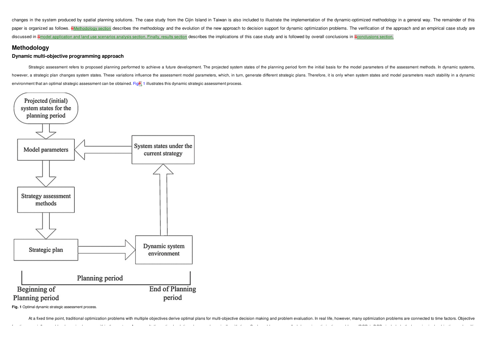changes in the system produced by spatial planning solutions. The case study from the Cijin Island in Taiwan is also included to illustrate the implementation of the dynamic-optimized methodology in a general way. The rema paper is organized as follows. SMethodology section describes the methodology and the evolution of the new approach to decision support for dynamic optimization problems. The verification of the approach and an empirical c discussed in Smodel application and land use scenarios analysis section. Finally, results section describes the implications of this case study and is followed by overall conclusions in Sconclusions section.

# **Methodology**

# **Dynamic multi-objective programming approach**

Strategic assessment refers to proposed planning performed to achieve a future development. The projected system states of the planning period form the initial basis for the model parameters of the assessment methods. In d however, a strategic plan changes system states. These variations influence the assessment model parameters, which, in turn, generate different strategic plans. Therefore, it is only when system states and model parameters environment that an optimal strategic assessment can be obtained. FigF. 1 illustrates this dynamic strategic assessment process.



At a fixed time point, traditional optimization problems with multiple objectives derive optimal plans for multi-objective decision making and problem evaluation. In real life, however, many optimization problems are conne

n an is an the company of the company of the company of the company of the company of the company of the company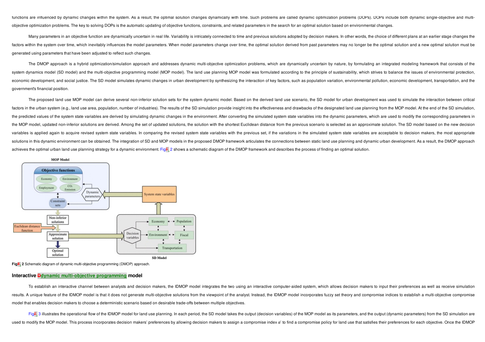functions are influenced by dynamic changes within the system. As a result, the optimal solution changes dynamically with time. Such problems are called dynamic optimization problems (DOPs). DOPs include both dynamic singl objective optimization problems. The key to solving DOPs is the automatic updating of objective functions, constraints, and related parameters in the search for an optimal solution based on environmental changes.

Many parameters in an objective function are dynamically uncertain in real life. Variability is intricately connected to time and previous solutions adopted by decision makers. In other words, the choice of different plans factors within the system over time, which inevitably influences the model parameters. When model parameters change over time, the optimal solution derived from past parameters may no longer be the optimal solution and a n generated using parameters that have been adjusted to reflect such changes.

The DMOP approach is a hybrid optimization/simulation approach and addresses dynamic multi-objective optimization problems, which are dynamically uncertain by nature, by formulating an integrated modeling framework that co system dynamics model (SD model) and the multi-objective programming model (MOP model). The land use planning MOP model was formulated according to the principle of sustainability, which strives to balance the issues of en economic development, and social justice. The SD model simulates dynamic changes in urban development by synthesizing the interaction of key factors, such as population variation, environmental pollution, economic developm government's financial position.

The proposed land use MOP model can derive several non-inferior solution sets for the system dynamic model. Based on the derived land use scenario, the SD model for urban development was used to simulate the interaction be factors in the urban system (e.g., land use area, population, number of industries). The results of the SD simulation provide insight into the effectiveness and drawbacks of the designated land use planning from the MOP mo the predicted values of the system state variables are derived by simulating dynamic changes in the environment. After converting the simulated system state variables into the dynamic parameters, which are used to modify t the MOP model, updated non-inferior solutions are derived. Among the set of updated solutions, the solutions, the solution with the shortest Euclidean distance from the previous scenario is selected as an approximate solut variables is applied again to acquire revised system state variables. In comparing the revised system state variables with the previous set, if the variations in the simulated system state variables are acceptable to decis solutions in this dynamic environment can be obtained. The integration of SD and MOP models in the proposed DMOP framework articulates the connections between static land use planning and dynamic urban development. As a re achieves the optimal urban land use planning strategy for a dynamic environment. FigF. 2 shows a schematic diagram of the DMOP framework and describes the process of finding an optimal solution.



**FigF. 2** Schematic diagram of dynamic multi-objective programming (DMOP) approach.

#### **Interactive Ddynamic multi-objective programming model**

To establish an interactive channel between analysts and decision makers, the IDMOP model integrates the two using an interactive computer-aided system, which allows decision makers to input their preferences as well as re results. A unique feature of the IDMOP model is that it does not generate multi-objective solutions from the viewpoint of the analyst. Instead, the IDMOP model incorporates fuzzy set theory and compromise indices to establ model that enables decision makers to choose a deterministic scenario based on desirable trade-offs between multiple objectives.

Fig- 3 illustrates the operational flow of the IDMOP model for land use planning. In each period, the SD model takes the output (decision variables) of the MOP model as its parameters, and the output (dynamic parameters) f used to modify the MOP model. This process incorporates decision makers' preferences by allowing decision makers to assign a compromise index a' to find a compromise policy for land use that satisfies their preferences for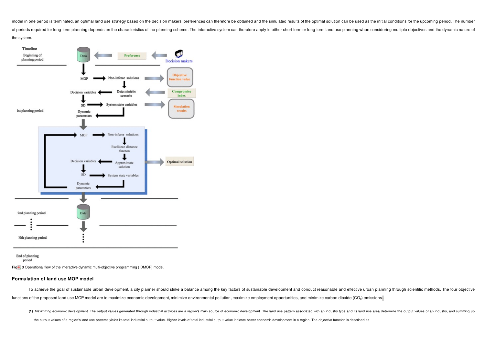model in one period is terminated, an optimal land use strategy based on the decision makers' preferences can therefore be obtained and the simulated results of the optimal solution can be used as the initial conditions fo of periods required for long-term planning depends on the characteristics of the planning scheme. The interactive system can therefore apply to either short-term or long-term land use planning when considering multiple obj the system.



End of planning period

**FigF. 3** Operational flow of the interactive dynamic multi-objective programming (IDMOP) model.

# **Formulation of land use MOP model**

To achieve the goal of sustainable urban development, a city planner should strike a balance among the key factors of sustainable development and conduct reasonable and effective urban planning through scientific methods. functions of the proposed land use MOP model are to maximize economic development, minimize environmental pollution, maximize employment opportunities, and minimize carbon dioxide (CO<sub>2</sub>) emissions<u>..</u>

(1) Maximizing economic development The output values generated through industrial activities are a region's main source of economic development. The land use pattern associated with an industry type and its land use area

the output values of a region's land use patterns yields its total industrial output value. Higher levels of total industrial output value indicate better economic development in a region. The objective function is describ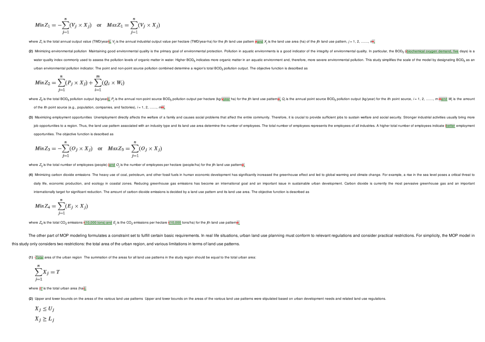$$
Min Z_1 = -\sum_{j=1}^{n} (V_j \times X_j)
$$
 or  $Max Z_1 = \sum_{j=1}^{n} (V_j \times X_j)$ 

where  $Z_{\rm I}$  is the total annual output value (TWD/year)),  $V_{\rm J}$  is the annual industrial output value per hectare (TWD/year-ha) for the  $h$ h land use pattern  $\frac{\Delta}{2}$  is the land use area (ha) of the  $h$ h land use

**(2)** Minimizing environmental pollution Maintaining good environmental quality is the primary goal of environmental protection. Pollution in aquatic environments is a good indicator of the integrity of environmental quali water quality index commonly used to assess the pollution levels of organic matter in water. Higher BOD<sub>5</sub> indicates more organic matter in an aquatic environment and, therefore, more severe environmental pollution. This urban environmental pollution indicator. The point and non-point source pollution combined determine a region's total BOD<sub>5</sub> pollution output. The objective function is described as

$$
Min Z_2 = \sum_{j=1}^{n} (P_j \times X_j) + \sum_{i=1}^{m} (Q_i \times W_i)
$$

where  $Z_2$  is the total BOD<sub>5</sub> pollution output (kg/year)),  $P_j$  is the annual non-point source BOD<sub>5</sub> pollution output per hectare (kg/<del>yyear</del> ha) for the *i*th land use pattemp.  $Q_i$  is the annual point source BOD<sub>5</sub> p of the *i*th point source (e.g., population, companies, and factories), *i* = 1, 2, ......., *m*m.

(3) Maximizing employment opportunities Unemployment directly affects the welfare of a family and causes social problems that affect the entire community. Therefore, it is crucial to provide sufficient jobs to sustain welf job opportunities to a region. Thus, the land use pattern associated with an industry type and its land use area determine the number of employees. The total number of employees represents the employees of all industries. opportunities. The objective function is described as

$$
Min Z_3 = -\sum_{j=1}^{n} (O_j \times X_j)
$$
 or  $Max Z_3 = \sum_{j=1}^{n} (O_j \times X_j)$ 

where  $Z_3$  is the total number of employees (people) <del>)</del><u>and</u>  $O_j$  is the number of employees per hectare (people/ha) for the *j*th land use pattern<del>p</del>.

(4) Minimizing carbon dioxide emissions The heavy use of coal, petroleum, and other fossil fuels in human economic development has significantly increased the greenhouse effect and led to global warming and climate change. daily life, economic production, and ecology in coastal zones. Reducing greenhouse gas emissions has become an international goal and an important issue in sustainable urban development. Carbon dioxide is currently the mos internationally target for significant reduction. The amount of carbon dioxide emissions is decided by a land use pattern and its land use area. The objective function is described as

$$
Min Z_4 = \sum_{j=1}^{n} (E_j \times X_j)
$$

where  $Z_4$  is the total CO<sub>2</sub> emissions <u>{(10,000 tons) and</u>  $E_j$  is the CO<sub>2</sub> emissions per hectare <u>{(10,000</u> tons/ha) for the *j*th land use pattern<del>p</del>.

The other part of MOP modeling formulates a constraint set to fulfill certain basic requirements. In real life situations, urban land use planning must conform to relevant requlations and consider practical restrictions. F this study only considers two restrictions: the total area of the urban region, and various limitations in terms of land use patterns.

**(1)** .Total area of the urban region The summation of the areas for all land use patterns in the study region should be equal to the total urban area:

$$
\sum_{j=1}^{n} X_j = T
$$

#### where  $\overline{4T}$  is the total urban area (ha).

(2) Upper and lower bounds on the areas of the various land use patterns Upper and lower bounds on the areas of the various land use patterns were stipulated based on urban development needs and related land use regulation

$$
X_j \le U_j
$$

 $X_i \geq L_i$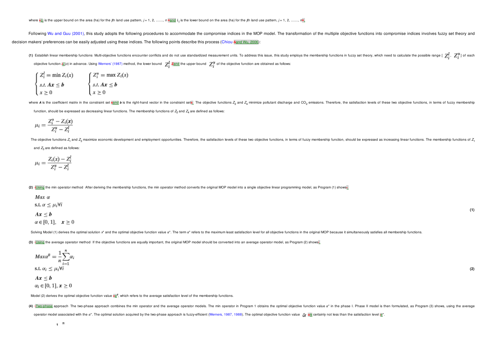Following Wu and Guu (2001), this study adopts the following procedures to accommodate the compromise indices in the MOP model. The transformation of the multiple objective functions into compromise indices involves fuzzy decision makers' preferences can be easily adjusted using these indices. The following points describe this process (Chiou &and Wu, 2006):

(1) Establish linear membership functions Multi-objective functions encounter conflicts and do not use standardized measurement units. To address this issue, this study employs the membership functions in fuzzy set theory objective function  $lZ(x)$  in advance. Using Werners' (1987) method, the lower bound  $Z_i^*$  Zand the upper bound  $Z_i^*$  of the objective function are obtained as follows:

$$
\begin{cases}\nZ_i^l = \min Z_i(x) \\
s.t. \, Ax \leq b \\
x \geq 0\n\end{cases}\n\qquad\n\begin{cases}\nZ_i^u = \max Z_i(x) \\
s.t. \, Ax \leq b \\
x \geq 0\n\end{cases}
$$

where A is the coefficient matrix in the constraint set sand b is the right-hand vector in the constraint sets. The objective functions Z<sub>2</sub> and Z<sub>4</sub> minimize pollutant discharge and CO<sub>2</sub> emissions. Therefore, the satisfa function, should be expressed as decreasing linear functions. The membership functions of  $Z_2$  and  $Z_4$  are defined as follows:

$$
\mu_i = \frac{Z_i^u - Z_i(x)}{Z_i^u - Z_i^l}
$$

The objective functions  $Z_1$  and  $Z_3$  maximize economic development and employment opportunities. Therefore, the satisfaction levels of these two objective functions, in terms of fuzzy membership function, should be exp

and  $Z_3$  are defined as follows:

$$
\mu_i = \frac{Z_i(x) - Z_i^l}{Z_i^u - Z_i^l}
$$

(2) {Using the min operator method After deriving the membership functions, the min operator method converts the original MOP model into a single objective linear programming model, as Program (1) shows.

$$
Max α
$$
  
s.t. α ≤ μ<sub>i</sub>∀*i*  

$$
Ax ≤ b
$$
  

$$
α ∈ [0, 1], x ≥
$$

 $\bf{0}$ 

 $\ddotsc$ 

Solving Model (1) derives the optimal solution x\* and the optimal objective function value a\*. The term a\* refers to the maximum least satisfaction level for all objective functions in the original MOP because it simultane

(3) .Using the average operator method If the objective functions are equally important, the original MOP model should be converted into an average operator model, as Program (2) shows.

$$
Max\alpha^{\#} = \frac{1}{n} \sum_{i=1}^{n} \alpha_i
$$
  
s.t.  $\alpha_i \le \mu_i \forall i$   
 $Ax \le b$   
 $\alpha_i \in [0, 1], x \ge 0$ 

Model (2) derives the optimal objective function value  $\frac{u}{\alpha}$ , which refers to the average satisfaction level of the membership functions.

(4) Two-phase approach The two-phase approach combines the min operator and the average operator models. The min operator in Program 1 obtains the optimal objective function value a\* in the phase I. Phase II model is then

operator model associated with the a\*. The optimal solution acquired by the two-phase approach is fuzzy-efficient (Wemers, 1987, 1988). The optimal objective function value in estisfaction the satisfaction level at

**(2)**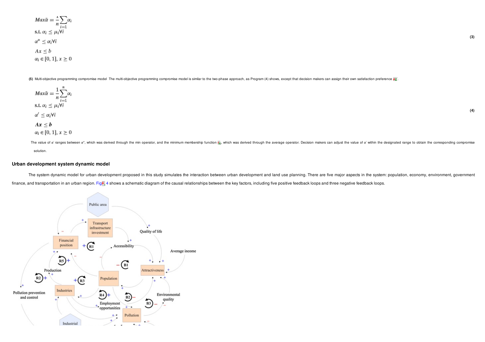$$
Max\bar{\alpha} = \frac{1}{n} \sum_{i=1}^n \alpha_i
$$
  
s.t.  $\alpha_i \le \mu_i \forall i$   
 $\alpha^* \le \alpha_i \forall i$   
 $Ax \le b$   
 $\alpha_i \in [0, 1], x \ge 0$ 

(5) Multi-objective programming compromise model The multi-objective programming compromise model is similar to the two-phase approach, as Program (4) shows, except that decision makers can assign their own satisfaction pr

 $Max\tilde{\alpha} = \frac{1}{n} \sum_{i=1}^{n} \alpha_i$ <br>s.t.  $\alpha_i \leq \mu_i \forall i$ **(4)** $\alpha' \leq \alpha_i \forall i$  $Ax \leq b$  $\alpha_i \in [0, 1], x \geq 0$ 

**(3)**

The value of a' ranges between a\*, which was derived through the min operator, and the minimum membership function  $\mu_b$  which was derived through the average operator. Decision makers can adjust the value of a' within th solution.

#### **Urban development system dynamic model**

The system dynamic model for urban development proposed in this study simulates the interaction between urban development and land use planning. There are five major aspects in the system: population, economy, environment, finance, and transportation in an urban region. FigF. 4 shows a schematic diagram of the causal relationships between the key factors, including five positive feedback loops and three negative feedback loops.

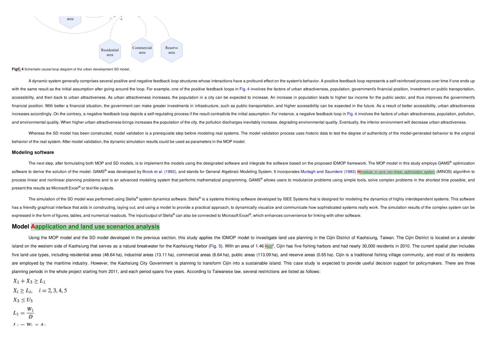

**FigF. 4** Schematic causal loop diagram of the urban development SD model.

A dynamic system generally comprises several positive and negative feedback loop structures whose interactions have a profound effect on the system's behavior. A positive feedback loop represents a self-reinforced process with the same result as the initial assumption after going around the loop. For example, one of the positive feedback loops in Fig. 4 involves the factors of urban attractiveness, population, government's financial positio accessibility, and then back to urban attractiveness. As urban attractiveness increases, the population in a city can be expected to increase. An increase in population leads to higher tax income for the public sector, and financial position. With better a financial situation, the government can make greater investments in infrastructure, such as public transportation, and higher accessibility can be expected in the future. As a result of be increases accordingly. On the contrary, a negative feedback loop depicts a self-regulating process if the result contradicts the initial assumption. For instance, a negative feedback loop in Fig. 4 involves the factors of and environmental quality. When higher urban attractiveness brings increases the population of the city, the pollution discharges inevitably increase, degrading environmental quality. Eventually, the inferior environment w

Whereas the SD model has been constructed, model validation is a prerequisite step before modeling real systems. The model validation process uses historic data to test the degree of authenticity of the model-generated beh behavior of the real system. After model validation, the dynamic simulation results could be used as parameters in the MOP model.

#### **Modeling software**

The next step, after formulating both MOP and SD models, is to implement the models using the designated software and integrate the software based on the proposed IDMOP framework. The MOP model in this study employs GAMS® software to derive the solution of the model. GAMS® was developed by Brook et al. (1992), and stands for General Algebraic Modeling System. It incorporates Murtagh and Saunders' (1983) Mmodular in-core non-linear optimizat process linear and nonlinear planning problems and is an advanced modeling system that performs mathematical programming. GAMS® allows users to modularize problems using simple tools, solve complex problems in the shortest present the results as Microsoft Excel® or text file outputs.

The simulation of the SD model was performed using Stella® system dynamics software. Stella® is a systems thinking software developed by ISEE Systems that is designed for modeling the dynamics of highly interdependent syst has a friendly graphical interface that aids in constructing, laying out, and using a model to provide a practical approach, to dynamically visualize and communicate how sophisticated systems really work. The simulation re expressed in the form of figures, tables, and numerical readouts. The input/output of Stella® can also be connected to Microsoft Excel®, which enhances convenience for linking with other software.

# **Model Aapplication and land use scenarios analysis**

Using the MOP model and the SD model developed in the previous section, this study applies the IDMOP model to investigate land use planning in the Cijin District of Kaohsiung, Taiwan. The Cijin District is located on a sle island on the western side of Kaohsiung that serves as a natural breakwater for the Kaohsiung Harbor (Fig. 5). With an area of 1.46 +km<sup>2</sup>, Cijin has five fishing harbors and had nearly 30,000 residents in 2010. The curren five land use types, including residential areas (48.64 ha), industrial areas (13.11 ha), commercial areas (6.64 ha), public areas (113.09 ha), and reserve areas (0.65 ha). Cijin is a traditional fishing village community, are employed by the maritime industry. However, the Kaohsiung City Government is planning to transform Cijin into a sustainable island. This case study is expected to provide useful decision support for policymakers. There planning periods in the whole project starting from 2011, and each period spans five years. According to Taiwanese law, several restrictions are listed as follows:

 $X_1 + X_3 \geq L_1$  $X_i \ge L_i$ ,  $i = 2, 3, 4, 5$  $X_3 \leq U_3$  $L_1 = \frac{W_1}{D}$  $I = W_1 \cup A$ .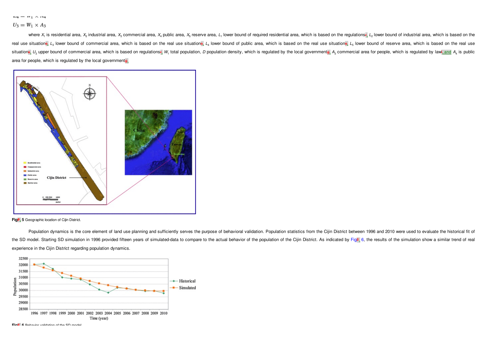$u_4 - u_1 \wedge u_4$ 

### $U_3 = W_1 \times A_3$

where  $X_1$  is residential area,  $X_2$  industrial area,  $X_3$  commercial area,  $X_4$  public area,  $X_5$  reserve area,  $I_1$  lower bound of required residential area, which is based on the regulations  $I_2$  lower bound of real use situations L<sub>a</sub> lower bound of commercial area, which is based on the real use situations L<sub>4</sub> lower bound of public area, which is based on the real use situation<mark>s.</mark> L<sub>5</sub> lower bound of reserve area, which is ba situations, U<sub>3</sub> upper bound of commercial area, which is based on regulationsr, W<sub>1</sub> total population, D population density, which is regulated by the local government<sub>e</sub>, A<sub>3</sub> commercial area for people, which is regulat area for people, which is regulated by the local governmente.



#### **FigF. 5** Geographic location of Cijin District.

Population dynamics is the core element of land use planning and sufficiently serves the purpose of behavioral validation. Population statistics from the Cijin District between 1996 and 2010 were used to evaluate the histo the SD model. Starting SD simulation in 1996 provided fifteen years of simulated-data to compare to the actual behavior of the population of the Cijin District. As indicated by Figh 6, the results of the simulation show a experience in the Cijin District regarding population dynamics.

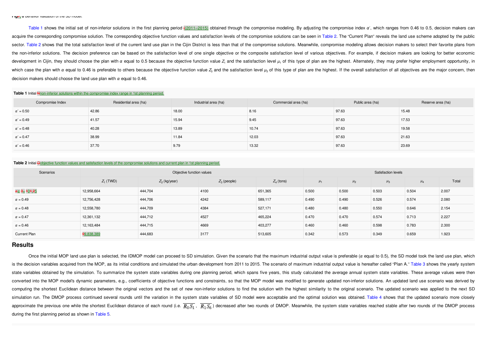Table 1 shows the initial set of non-inferior solutions in the first planning period  $(2011-2015)$  obtained through the compromise modeling. By adjusting the compromise index  $\alpha'$ , which ranges from 0.46 to 0.5, decision acquire the corresponding compromise solution. The corresponding objective function values and satisfaction levels of the compromise solutions can be seen in Table 2. The "Current Plan" reveals the land use scheme adopted sector. Table 2 shows that the total satisfaction level of the current land use plan in the Cilin District is less than that of the compromise solutions. Meanwhile, compromise modeling allows decision makers to select thei the non-inferior solutions. The decision preference can be based on the satisfaction level of one single objective or the composite satisfaction level of various objectives. For example, if decision makers are looking for development in Cijin, they should choose the plan with  $\alpha$  equal to 0.5 because the objective function value Z, and the satisfaction level  $\mu$ , of this type of plan are the highest. Alternately, they may prefer higher e which case the plan with  $\alpha$  equal to 0.46 is preferable to others because the objective function value  $Z_2$  and the satisfaction level  $\mu_2$  of this type of plan are the highest. If the overall satisfaction of all obj decision makers should choose the land use plan with  $\alpha$  equal to 0.46.

#### **Table 1** Initial Nnon-inferior solutions within the compromise index range in 1st planning period.

| Compromise Index | Residential area (ha) | Industrial area (ha) | Commercial area (ha) | Public area (ha) | Reserve area (ha) |
|------------------|-----------------------|----------------------|----------------------|------------------|-------------------|
| $\alpha' = 0.50$ | 42.86                 | 18.00                | 8.16                 | 97.63            | 15.48             |
| $\alpha' = 0.49$ | 41.57                 | 15.94                | 9.45                 | 97.63            | 17.53             |
| $\alpha' = 0.48$ | 40.28                 | 13.89                | 10.74                | 97.63            | 19.58             |
| $\alpha' = 0.47$ | 38.99                 | 11.84                | 12.03                | 97.63            | 21.63             |
| $\alpha' = 0.46$ | 37.70                 | 9.79                 | 13.32                | 97.63            | 23.69             |

#### Table 2 Initial Oobjective function values and satisfaction levels of the compromise solutions and current plan in 1st planning period.

| Scenarios                            | Objective function values |                 |                | Satisfaction levels |         |         |         |         |       |
|--------------------------------------|---------------------------|-----------------|----------------|---------------------|---------|---------|---------|---------|-------|
|                                      | $Z_1$ (TWD)               | $Z_2$ (kg/year) | $Z_3$ (people) | $Z_4$ (tons)        | $\mu_1$ | $\mu_2$ | $\mu_3$ | $\mu_4$ | Total |
| $\frac{\alpha \alpha}{1}$ 3 = 101.25 | 12,958,664                | 444,704         | 4100           | 651,365             | 0.500   | 0.500   | 0.503   | 0.504   | 2.007 |
| $\alpha = 0.49$                      | 12,756,428                | 444,706         | 4242           | 589,117             | 0.490   | 0.490   | 0.526   | 0.574   | 2.080 |
| $\alpha = 0.48$                      | 12,558,780                | 444,709         | 4384           | 527,171             | 0.480   | 0.480   | 0.550   | 0.646   | 2.154 |
| $\alpha = 0.47$                      | 12,361,132                | 444,712         | 4527           | 465.224             | 0.470   | 0.470   | 0.574   | 0.713   | 2.227 |
| $\alpha = 0.46$                      | 12,163,484                | 444,715         | 4669           | 403,277             | 0.460   | 0.460   | 0.598   | 0.783   | 2.300 |
| <b>Current Plan</b>                  | 99,838,389                | 444,683         | 3177           | 513,605             | 0.342   | 0.573   | 0.349   | 0.659   | 1.923 |

#### **Results**

Once the initial MOP land use plan is selected, the IDMOP model can proceed to SD simulation. Given the scenario that the maximum industrial output value is preferable (a equal to 0.5), the SD model took the land use plan, is the decision variables acquired from the MOP, as its initial conditions and simulated the urban development from 2011 to 2015. The scenario of maximum industrial output value is hereafter called "Plan A." Table 3 shows state variables obtained by the simulation. To summarize the system state variables during one planning period, which spans five years, this study calculated the average annual system state variables. These average values converted into the MOP model's dynamic parameters, e.g., coefficients of objective functions and constraints, so that the MOP model was modified to generate updated non-inferior solutions. An updated land use scenario was computing the shortest Euclidean distance between the original vectors and the set of new non-inferior solutions to find the solution with the highest similarity to the original scenario. The updated scenario was applied t simulation run. The DMOP process continued several rounds until the variation in the system state variables of SD model were acceptable and the optimal solution was obtained. Table 4 shows that the updated scenario more cl approximate the previous one while the shortest Euclidean distance of each round (i.e.  $\overline{R_0S_1}$ ,  $\overline{R_1S_6}$ ) decreased after two rounds of DMOP. Meanwhile, the system state variables reached stable after two round during the first planning period as shown in Table 5.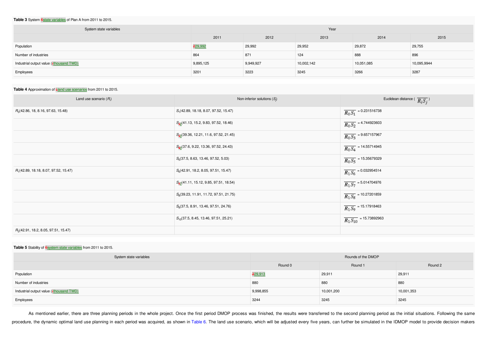#### Table 3 System **S**state variables of Plan A from 2011 to 2015.

| System state variables                          | Year      |           |            |            |             |
|-------------------------------------------------|-----------|-----------|------------|------------|-------------|
|                                                 | 2011      | 2012      | 2013       | 2014       | 2015        |
| Population                                      | 229,992   | 29,992    | 29,952     | 29,872     | 29,755      |
| Number of industries                            | 864       | 871       | 124        | 888        | 896         |
| Industrial output value ( <i>thousand TWD</i> ) | 9,895,125 | 9,949,927 | 10,002,142 | 10,051,085 | 10,095,9944 |
| Employees                                       | 3201      | 3223      | 3245       | 3266       | 3287        |

#### Table 4 Approximation of **Land use scenarios** from 2011 to 2015.

| Land use scenario $(R_i)$                         | Non-inferior solutions $(S_i)$                  | Euclidean distance ( $\overline{R_{i}S_{j}}$ ) |
|---------------------------------------------------|-------------------------------------------------|------------------------------------------------|
| $R_0(42.86, 18, 8.16, 97.63, 15.48)$              | $S_1(42.89, 18.18, 8.07, 97.52, 15.47)$         | $\overline{R_0S_1}$ = 0.231516738              |
|                                                   | $S_{\rm S2}$ (41.13, 15.2, 9.83, 97.52, 18.46)  | $R_0S_2$ = 4.744923603                         |
|                                                   | $S_{\rm G3}$ (39.36, 12.21, 11.6, 97.52, 21.45) | $\overline{R_0S_3}$ = 9.657157967              |
|                                                   | $S_{64}(37.6, 9.22, 13.36, 97.52, 24.43)$       | $\overline{R_0 S_4}$ = 14.55714945             |
|                                                   | $S_5(37.5, 8.63, 13.46, 97.52, 5.03)$           | $\overline{R_0S_5}$ = 15.35679329              |
| R <sub>1</sub> (42.89, 18.18, 8.07, 97.52, 15.47) | $S_6(42.91, 18.2, 8.05, 97.51, 15.47)$          | $\overline{R_1S_6}$ = 0.032954514              |
|                                                   | $S_{\rm G7}$ (41.11, 15.12, 9.85, 97.51, 18.54) | $\overline{R_1S_7}$ = 5.014704976              |
|                                                   | $S_8(39.23, 11.91, 11.72, 97.51, 21.75)$        | $\overline{R_1 S_8}$ = 10.27201859             |
|                                                   | $S_9(37.5, 8.91, 13.46, 97.51, 24.76)$          | $\overline{R_1S_9}$ = 15.17918463              |
|                                                   | $S_{10}(37.5, 8.45, 13.46, 97.51, 25.21)$       | $\overline{R_1S_{10}}$ = 15.73892963           |
| $R2(42.91, 18.2, 8.05, 97.51, 15.47)$             |                                                 |                                                |

# Table 5 Stability of **S**system state variables from 2011 to 2015.

| System state variables                 | Rounds of the DMOP |            |            |
|----------------------------------------|--------------------|------------|------------|
|                                        | Round 0            | Round 1    | Round 2    |
| Population                             | 229,913            | 29,911     | 29,911     |
| Number of industries                   | 880                | 880        | 880        |
| Industrial output value (thousand TWD) | 9,998,855          | 10,001,200 | 10,001,353 |
| Employees                              | 3244               | 3245       | 3245       |

As mentioned earlier, there are three planning periods in the whole project. Once the first period DMOP process was finished, the results were transferred to the second planning period as the initial situations. Following procedure, the dynamic optimal land use planning in each period was acquired, as shown in Table 6. The land use scenario, which will be adjusted every five years, can further be simulated in the IDMOP model to provide deci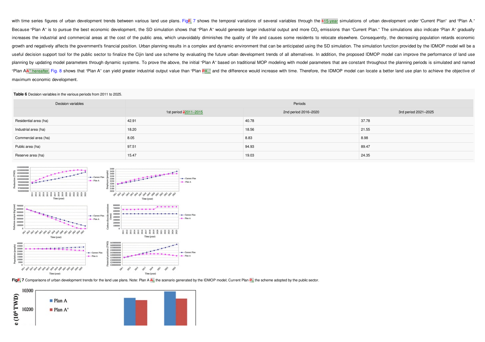with time series figures of urban development trends between various land use plans. FigF, 7 shows the temporal variations of several variables through the 415-year simulations of urban development under "Current Plan" and Because "Plan A" is to pursue the best economic development, the SD simulation shows that "Plan A" would generate larger industrial output and more CO<sub>2</sub> emissions than "Current Plan." The simulations also indicate "Plan A increases the industrial and commercial areas at the cost of the public area, which unavoidably diminishes the quality of life and causes some residents to relocate elsewhere. Consequently, the decreasing population retard growth and negatively affects the government's financial position. Urban planning results in a complex and dynamic environment that can be anticipated using the SD simulation. The simulation function provided by the IDMOP useful decision support tool for the public sector to finalize the Cijin land use scheme by evaluating the future urban development trends of all alternatives. In addition, the proposed IDMOP model can improve the performa planning by updating model parameters through dynamic systems. To prove the above, the initial "Plan A" based on traditional MOP modeling with model parameters that are constant throughout the planning periods is simulated "Plan AA" hereafter. Fig. 8 shows that "Plan A" can yield greater industrial output value than "Plan PA'," and the difference would increase with time. Therefore, the IDMOP model can locate a better land use plan to achiev maximum economic development.

#### **Table 6** Decision variables in the various periods from 2011 to 2025.

| Decision variables    | Periods               |                      |                      |  |  |
|-----------------------|-----------------------|----------------------|----------------------|--|--|
|                       | 1st period 22011-2015 | 2nd period 2016-2020 | 3rd period 2021-2025 |  |  |
| Residential area (ha) | 42.91                 | 40.78                | 37.78                |  |  |
| Industrial area (ha)  | 18.20                 | 18.56                | 21.55                |  |  |
| Commercial area (ha)  | 8.05                  | 8.83                 | 8.98                 |  |  |
| Public area (ha)      | 97.51                 | 94.93                | 89.47                |  |  |
| Reserve area (ha)     | 15.47                 | 19.03                | 24.35                |  |  |



Fig<sub>F</sub><sub>2</sub> 7 Comparisons of urban development trends for the land use plans. Note: Plan A $\frac{A}{A}$  the scenario generated by the IDMOP model; Current Plan  $P_$ <sub>1</sub> the scheme adopted by the public sector.

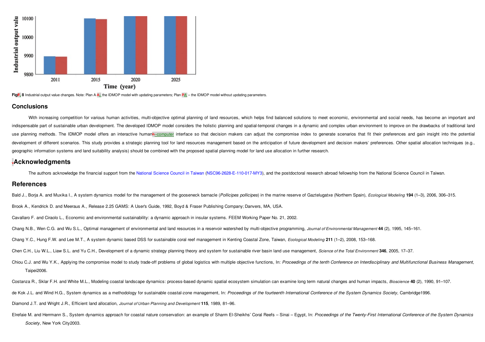



# **Conclusions**

With increasing competition for various human activities, multi-objective optimal planning of land resources, which helps find balanced solutions to meet economic, environmental and social needs, has become an important an indispensable part of sustainable urban development. The developed IDMOP model considers the holistic planning and spatial-temporal changes in a dynamic and complex urban environment to improve on the drawbacks of traditio use planning methods. The IDMOP model offers an interactive humanh-computer interface so that decision makers can adjust the compromise index to generate scenarios that fit their preferences and gain insight into the poten development of different scenarios. This study provides a strategic planning tool for land resources management based on the anticipation of future development and decision makers' preferences. Other spatial allocation tec geographic information systems and land suitability analysis) should be combined with the proposed spatial planning model for land use allocation in further research.

# **.Acknowledgments**

The authors acknowledge the financial support from the National Science Council in Taiwan (NSC96-2628-E-110-017-MY3), and the postdoctoral research abroad fellowship from the National Science Council in Taiwan.

# **References**

Bald J., Boria A. and Muxika I., A system dynamics model for the management of the gooseneck barnacle (Pollicipes pollicipes) in the marine reserve of Gaztelugatxe (Northern Spain), Ecological Modeling 194 (1-3), 2006, 306

Brook A., Kendrick D. and Meeraus A., Release 2.25 GAMS: A User's Guide, 1992, Boyd & Fraser Publishing Company; Danvers, MA, USA.

Cavallaro F. and Ciraolo L., Economic and environmental sustainability: a dynamic approach in insular systems. FEEM Working Paper No. 21, 2002.

Chang N.B., Wen C.G. and Wu S.L., Optimal management of environmental and land resources in a reservoir watershed by multi-objective programming, Journal of Environmental Management 44 (2), 1995, 145-161.

Chang Y.C., Hung F.W. and Lee M.T., A system dynamic based DSS for sustainable coral reef management in Kenting Coastal Zone, Taiwan, *Ecological Modeling* **211** (1–2), 2008, 153–168.

Chen C.H., Liu W.L., Liaw S.L. and Yu C.H., Development of a dynamic strategy planning theory and system for sustainable river basin land use management, Science of the Total Environment 346, 2005, 17-37.

Chiou C.J. and Wu Y.K., Applying the compromise model to study trade-off problems of global logistics with multiple objective functions, In: Proceedings of the tenth Conference on Interdisciplinary and Multifunctional Busi Taipei2006.

Costanza R., Sklar F.H. and White M.L., Modeling coastal landscape dynamics: process-based dynamic spatial ecosystem simulation can examine long term natural changes and human impacts, Bioscience 40 (2), 1990, 91-107.

de Kok J.L. and Wind H.G., System dynamics as a methodology for sustainable coastal-zone management, In: Proceedings of the fourteenth International Conference of the System Dynamics Society, Cambridge1996.

Diamond J.T. and Wright J.R., Efficient land allocation, *Journal of Urban Planning and Development* **115**, 1989, 81–96.

Elrefaie M. and Herrmann S., System dynamics approach for coastal nature conservation: an example of Sharm El-Sheikhs' Coral Reefs - Sinai - Egypt, In: Proceedings of the Twenty-First International Conference of the System *Society,* New York City2003.